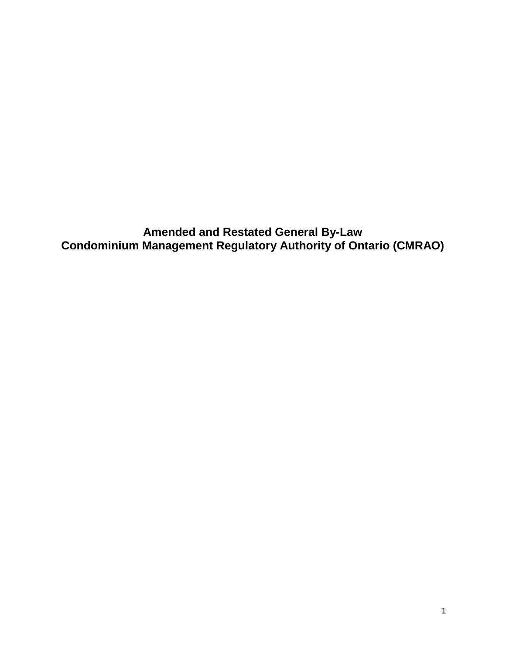**Amended and Restated General By-Law Condominium Management Regulatory Authority of Ontario (CMRAO)**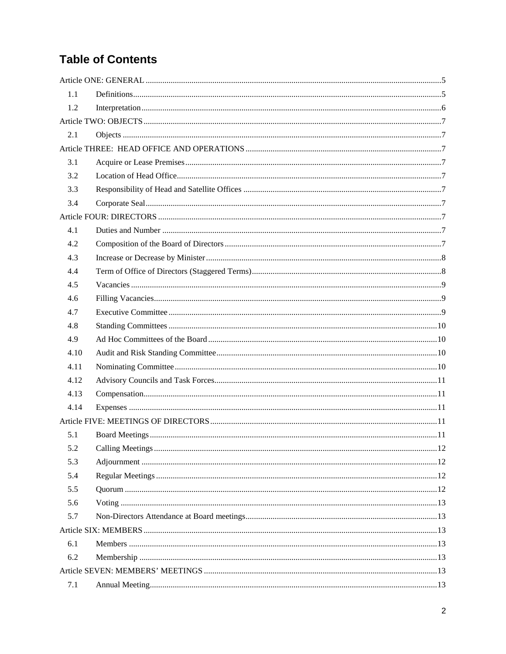# **Table of Contents**

| 1.1  |  |
|------|--|
| 1.2  |  |
|      |  |
| 2.1  |  |
|      |  |
| 3.1  |  |
| 3.2  |  |
| 3.3  |  |
| 3.4  |  |
|      |  |
| 4.1  |  |
| 4.2  |  |
| 4.3  |  |
| 4.4  |  |
| 4.5  |  |
| 4.6  |  |
| 4.7  |  |
| 4.8  |  |
| 4.9  |  |
| 4.10 |  |
| 4.11 |  |
| 4.12 |  |
| 4.13 |  |
| 4.14 |  |
|      |  |
| 5.1  |  |
| 5.2  |  |
| 5.3  |  |
| 5.4  |  |
| 5.5  |  |
| 5.6  |  |
| 5.7  |  |
|      |  |
| 6.1  |  |
| 6.2  |  |
|      |  |
| 7.1  |  |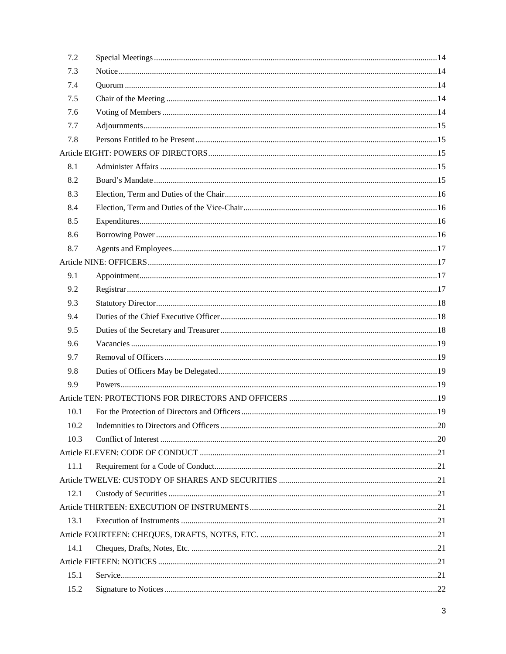| 7.2  |  |
|------|--|
| 7.3  |  |
| 7.4  |  |
| 7.5  |  |
| 7.6  |  |
| 7.7  |  |
| 7.8  |  |
|      |  |
| 8.1  |  |
| 8.2  |  |
| 8.3  |  |
| 8.4  |  |
| 8.5  |  |
| 8.6  |  |
| 8.7  |  |
|      |  |
| 9.1  |  |
| 9.2  |  |
| 9.3  |  |
| 9.4  |  |
| 9.5  |  |
| 9.6  |  |
| 9.7  |  |
| 9.8  |  |
| 9.9  |  |
|      |  |
| 10.1 |  |
| 10.2 |  |
| 10.3 |  |
|      |  |
| 11.1 |  |
|      |  |
| 12.1 |  |
|      |  |
| 13.1 |  |
|      |  |
| 14.1 |  |
|      |  |
| 15.1 |  |
| 15.2 |  |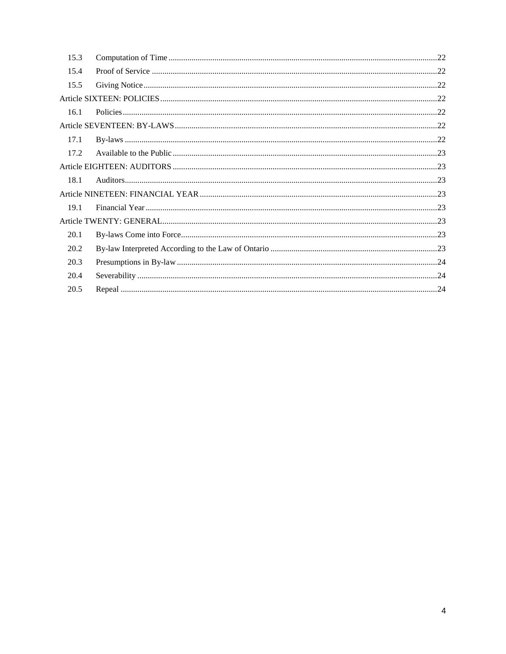| 15.3 |  |  |  |  |
|------|--|--|--|--|
| 15.4 |  |  |  |  |
| 15.5 |  |  |  |  |
|      |  |  |  |  |
| 16.1 |  |  |  |  |
|      |  |  |  |  |
| 17.1 |  |  |  |  |
| 17.2 |  |  |  |  |
|      |  |  |  |  |
| 18.1 |  |  |  |  |
|      |  |  |  |  |
| 19.1 |  |  |  |  |
|      |  |  |  |  |
| 20.1 |  |  |  |  |
| 20.2 |  |  |  |  |
| 20.3 |  |  |  |  |
| 20.4 |  |  |  |  |
| 20.5 |  |  |  |  |
|      |  |  |  |  |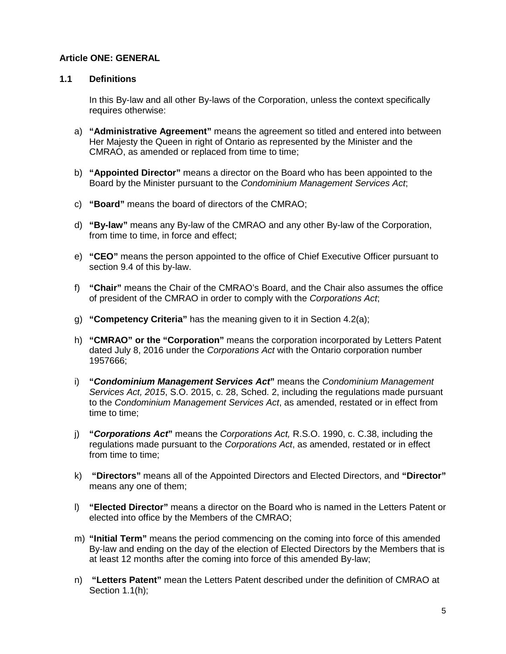### <span id="page-4-0"></span>**Article ONE: GENERAL**

#### <span id="page-4-1"></span>**1.1 Definitions**

In this By-law and all other By-laws of the Corporation, unless the context specifically requires otherwise:

- a) **"Administrative Agreement"** means the agreement so titled and entered into between Her Majesty the Queen in right of Ontario as represented by the Minister and the CMRAO, as amended or replaced from time to time;
- b) **"Appointed Director"** means a director on the Board who has been appointed to the Board by the Minister pursuant to the *Condominium Management Services Act*;
- c) **"Board"** means the board of directors of the CMRAO;
- d) **"By-law"** means any By-law of the CMRAO and any other By-law of the Corporation, from time to time, in force and effect;
- e) **"CEO"** means the person appointed to the office of Chief Executive Officer pursuant to section 9.4 of this by-law.
- f) **"Chair"** means the Chair of the CMRAO's Board, and the Chair also assumes the office of president of the CMRAO in order to comply with the *Corporations Act*;
- g) **"Competency Criteria"** has the meaning given to it in Section 4.2(a);
- h) **"CMRAO" or the "Corporation"** means the corporation incorporated by Letters Patent dated July 8, 2016 under the *Corporations Act* with the Ontario corporation number 1957666;
- i) **"***Condominium Management Services Act***"** means the *Condominium Management Services Act, 2015*, S.O. 2015, c. 28, Sched. 2, including the regulations made pursuant to the *Condominium Management Services Act*, as amended, restated or in effect from time to time;
- j) **"***Corporations Act***"** means the *Corporations Act,* R.S.O. 1990, c. C.38, including the regulations made pursuant to the *Corporations Act*, as amended, restated or in effect from time to time;
- k) **"Directors"** means all of the Appointed Directors and Elected Directors, and **"Director"** means any one of them;
- l) **"Elected Director"** means a director on the Board who is named in the Letters Patent or elected into office by the Members of the CMRAO;
- m) **"Initial Term"** means the period commencing on the coming into force of this amended By-law and ending on the day of the election of Elected Directors by the Members that is at least 12 months after the coming into force of this amended By-law;
- n) **"Letters Patent"** mean the Letters Patent described under the definition of CMRAO at Section 1.1(h);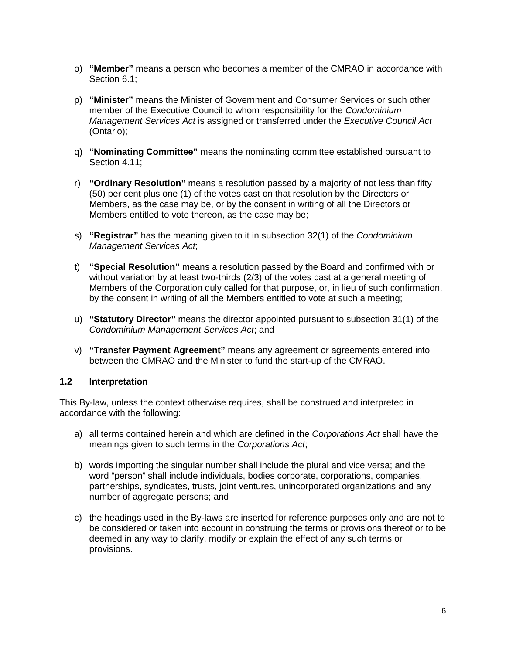- o) **"Member"** means a person who becomes a member of the CMRAO in accordance with Section 6.1;
- p) **"Minister"** means the Minister of Government and Consumer Services or such other member of the Executive Council to whom responsibility for the *Condominium Management Services Act* is assigned or transferred under the *Executive Council Act* (Ontario);
- q) **"Nominating Committee"** means the nominating committee established pursuant to Section 4.11;
- r) **"Ordinary Resolution"** means a resolution passed by a majority of not less than fifty (50) per cent plus one (1) of the votes cast on that resolution by the Directors or Members, as the case may be, or by the consent in writing of all the Directors or Members entitled to vote thereon, as the case may be;
- s) **"Registrar"** has the meaning given to it in subsection 32(1) of the *Condominium Management Services Act*;
- t) **"Special Resolution"** means a resolution passed by the Board and confirmed with or without variation by at least two-thirds (2/3) of the votes cast at a general meeting of Members of the Corporation duly called for that purpose, or, in lieu of such confirmation, by the consent in writing of all the Members entitled to vote at such a meeting;
- u) **"Statutory Director"** means the director appointed pursuant to subsection 31(1) of the *Condominium Management Services Act*; and
- v) **"Transfer Payment Agreement"** means any agreement or agreements entered into between the CMRAO and the Minister to fund the start-up of the CMRAO.

#### <span id="page-5-0"></span>**1.2 Interpretation**

This By-law, unless the context otherwise requires, shall be construed and interpreted in accordance with the following:

- a) all terms contained herein and which are defined in the *Corporations Act* shall have the meanings given to such terms in the *Corporations Act*;
- b) words importing the singular number shall include the plural and vice versa; and the word "person" shall include individuals, bodies corporate, corporations, companies, partnerships, syndicates, trusts, joint ventures, unincorporated organizations and any number of aggregate persons; and
- c) the headings used in the By-laws are inserted for reference purposes only and are not to be considered or taken into account in construing the terms or provisions thereof or to be deemed in any way to clarify, modify or explain the effect of any such terms or provisions.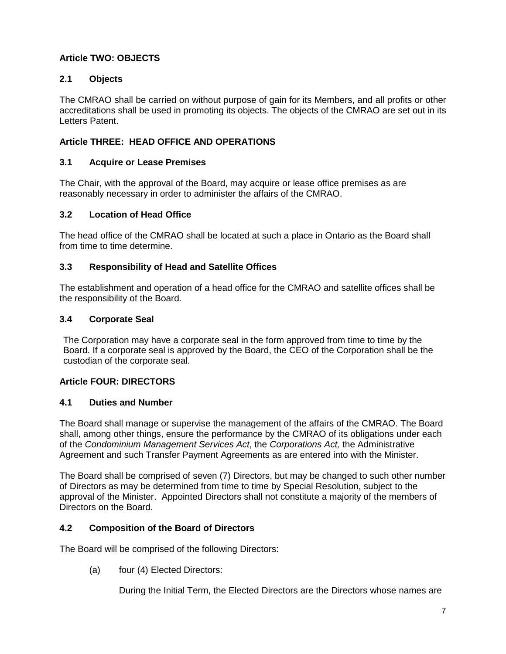# <span id="page-6-0"></span>**Article TWO: OBJECTS**

# <span id="page-6-1"></span>**2.1 Objects**

The CMRAO shall be carried on without purpose of gain for its Members, and all profits or other accreditations shall be used in promoting its objects. The objects of the CMRAO are set out in its Letters Patent.

### <span id="page-6-2"></span>**Article THREE: HEAD OFFICE AND OPERATIONS**

### <span id="page-6-3"></span>**3.1 Acquire or Lease Premises**

The Chair, with the approval of the Board, may acquire or lease office premises as are reasonably necessary in order to administer the affairs of the CMRAO.

### <span id="page-6-4"></span>**3.2 Location of Head Office**

The head office of the CMRAO shall be located at such a place in Ontario as the Board shall from time to time determine.

### <span id="page-6-5"></span>**3.3 Responsibility of Head and Satellite Offices**

The establishment and operation of a head office for the CMRAO and satellite offices shall be the responsibility of the Board.

### <span id="page-6-6"></span>**3.4 Corporate Seal**

The Corporation may have a corporate seal in the form approved from time to time by the Board. If a corporate seal is approved by the Board, the CEO of the Corporation shall be the custodian of the corporate seal.

#### <span id="page-6-7"></span>**Article FOUR: DIRECTORS**

#### <span id="page-6-8"></span>**4.1 Duties and Number**

The Board shall manage or supervise the management of the affairs of the CMRAO. The Board shall, among other things, ensure the performance by the CMRAO of its obligations under each of the *Condominium Management Services Act*, the *Corporations Act,* the Administrative Agreement and such Transfer Payment Agreements as are entered into with the Minister.

The Board shall be comprised of seven (7) Directors, but may be changed to such other number of Directors as may be determined from time to time by Special Resolution, subject to the approval of the Minister. Appointed Directors shall not constitute a majority of the members of Directors on the Board.

#### <span id="page-6-9"></span>**4.2 Composition of the Board of Directors**

The Board will be comprised of the following Directors:

(a) four (4) Elected Directors:

During the Initial Term, the Elected Directors are the Directors whose names are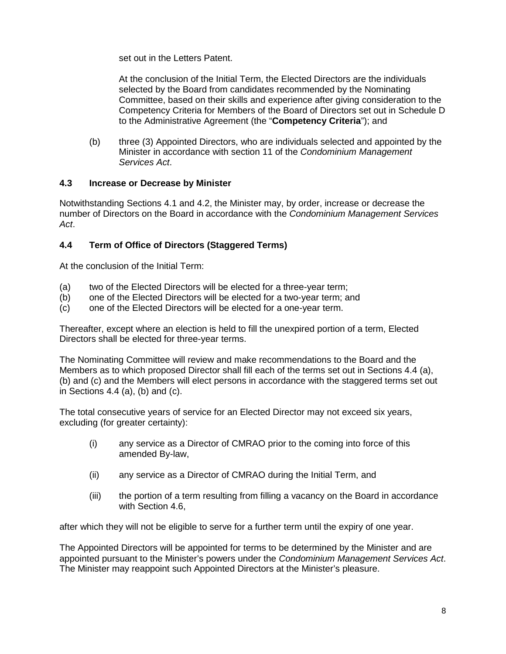set out in the Letters Patent.

At the conclusion of the Initial Term, the Elected Directors are the individuals selected by the Board from candidates recommended by the Nominating Committee, based on their skills and experience after giving consideration to the Competency Criteria for Members of the Board of Directors set out in Schedule D to the Administrative Agreement (the "**Competency Criteria**"); and

(b) three (3) Appointed Directors, who are individuals selected and appointed by the Minister in accordance with section 11 of the *Condominium Management Services Act*.

### <span id="page-7-0"></span>**4.3 Increase or Decrease by Minister**

Notwithstanding Sections 4.1 and 4.2, the Minister may, by order, increase or decrease the number of Directors on the Board in accordance with the *Condominium Management Services Act*.

# <span id="page-7-1"></span>**4.4 Term of Office of Directors (Staggered Terms)**

At the conclusion of the Initial Term:

- (a) two of the Elected Directors will be elected for a three-year term;
- (b) one of the Elected Directors will be elected for a two-year term; and
- (c) one of the Elected Directors will be elected for a one-year term.

Thereafter, except where an election is held to fill the unexpired portion of a term, Elected Directors shall be elected for three-year terms.

The Nominating Committee will review and make recommendations to the Board and the Members as to which proposed Director shall fill each of the terms set out in Sections 4.4 (a), (b) and (c) and the Members will elect persons in accordance with the staggered terms set out in Sections 4.4 (a), (b) and (c).

The total consecutive years of service for an Elected Director may not exceed six years, excluding (for greater certainty):

- (i) any service as a Director of CMRAO prior to the coming into force of this amended By-law,
- (ii) any service as a Director of CMRAO during the Initial Term, and
- (iii) the portion of a term resulting from filling a vacancy on the Board in accordance with Section 4.6.

after which they will not be eligible to serve for a further term until the expiry of one year.

The Appointed Directors will be appointed for terms to be determined by the Minister and are appointed pursuant to the Minister's powers under the *Condominium Management Services Act*. The Minister may reappoint such Appointed Directors at the Minister's pleasure.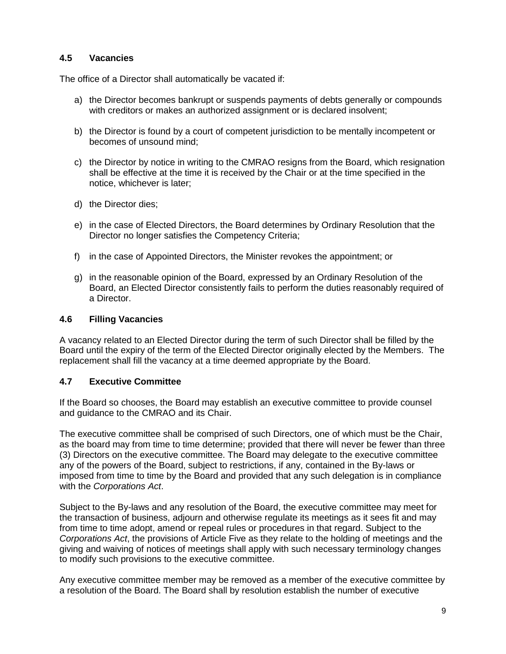### <span id="page-8-0"></span>**4.5 Vacancies**

The office of a Director shall automatically be vacated if:

- a) the Director becomes bankrupt or suspends payments of debts generally or compounds with creditors or makes an authorized assignment or is declared insolvent:
- b) the Director is found by a court of competent jurisdiction to be mentally incompetent or becomes of unsound mind;
- c) the Director by notice in writing to the CMRAO resigns from the Board, which resignation shall be effective at the time it is received by the Chair or at the time specified in the notice, whichever is later;
- d) the Director dies;
- e) in the case of Elected Directors, the Board determines by Ordinary Resolution that the Director no longer satisfies the Competency Criteria;
- f) in the case of Appointed Directors, the Minister revokes the appointment; or
- g) in the reasonable opinion of the Board, expressed by an Ordinary Resolution of the Board, an Elected Director consistently fails to perform the duties reasonably required of a Director.

#### <span id="page-8-1"></span>**4.6 Filling Vacancies**

A vacancy related to an Elected Director during the term of such Director shall be filled by the Board until the expiry of the term of the Elected Director originally elected by the Members. The replacement shall fill the vacancy at a time deemed appropriate by the Board.

#### <span id="page-8-2"></span>**4.7 Executive Committee**

If the Board so chooses, the Board may establish an executive committee to provide counsel and guidance to the CMRAO and its Chair.

The executive committee shall be comprised of such Directors, one of which must be the Chair, as the board may from time to time determine; provided that there will never be fewer than three (3) Directors on the executive committee. The Board may delegate to the executive committee any of the powers of the Board, subject to restrictions, if any, contained in the By-laws or imposed from time to time by the Board and provided that any such delegation is in compliance with the *Corporations Act*.

Subject to the By-laws and any resolution of the Board, the executive committee may meet for the transaction of business, adjourn and otherwise regulate its meetings as it sees fit and may from time to time adopt, amend or repeal rules or procedures in that regard. Subject to the *Corporations Act*, the provisions of Article Five as they relate to the holding of meetings and the giving and waiving of notices of meetings shall apply with such necessary terminology changes to modify such provisions to the executive committee.

Any executive committee member may be removed as a member of the executive committee by a resolution of the Board. The Board shall by resolution establish the number of executive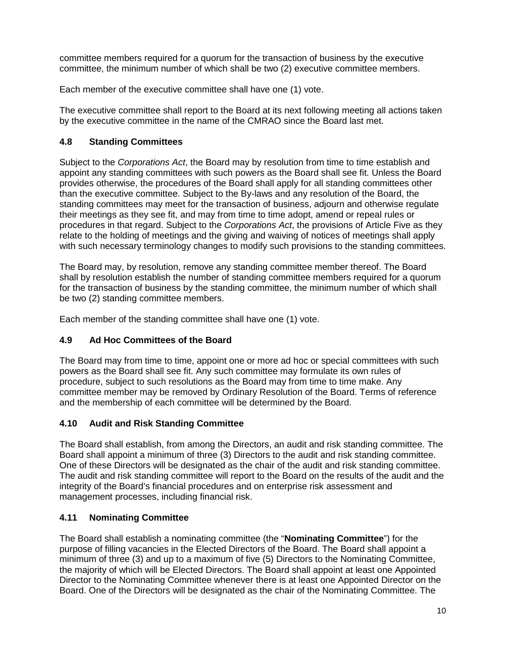committee members required for a quorum for the transaction of business by the executive committee, the minimum number of which shall be two (2) executive committee members.

Each member of the executive committee shall have one (1) vote.

The executive committee shall report to the Board at its next following meeting all actions taken by the executive committee in the name of the CMRAO since the Board last met.

# <span id="page-9-0"></span>**4.8 Standing Committees**

Subject to the *Corporations Act*, the Board may by resolution from time to time establish and appoint any standing committees with such powers as the Board shall see fit. Unless the Board provides otherwise, the procedures of the Board shall apply for all standing committees other than the executive committee. Subject to the By-laws and any resolution of the Board, the standing committees may meet for the transaction of business, adjourn and otherwise regulate their meetings as they see fit, and may from time to time adopt, amend or repeal rules or procedures in that regard. Subject to the *Corporations Act*, the provisions of Article Five as they relate to the holding of meetings and the giving and waiving of notices of meetings shall apply with such necessary terminology changes to modify such provisions to the standing committees.

The Board may, by resolution, remove any standing committee member thereof. The Board shall by resolution establish the number of standing committee members required for a quorum for the transaction of business by the standing committee, the minimum number of which shall be two (2) standing committee members.

Each member of the standing committee shall have one (1) vote.

# <span id="page-9-1"></span>**4.9 Ad Hoc Committees of the Board**

The Board may from time to time, appoint one or more ad hoc or special committees with such powers as the Board shall see fit. Any such committee may formulate its own rules of procedure, subject to such resolutions as the Board may from time to time make. Any committee member may be removed by Ordinary Resolution of the Board. Terms of reference and the membership of each committee will be determined by the Board.

# <span id="page-9-2"></span>**4.10 Audit and Risk Standing Committee**

The Board shall establish, from among the Directors, an audit and risk standing committee. The Board shall appoint a minimum of three (3) Directors to the audit and risk standing committee. One of these Directors will be designated as the chair of the audit and risk standing committee. The audit and risk standing committee will report to the Board on the results of the audit and the integrity of the Board's financial procedures and on enterprise risk assessment and management processes, including financial risk.

# <span id="page-9-3"></span>**4.11 Nominating Committee**

The Board shall establish a nominating committee (the "**Nominating Committee**") for the purpose of filling vacancies in the Elected Directors of the Board. The Board shall appoint a minimum of three (3) and up to a maximum of five (5) Directors to the Nominating Committee, the majority of which will be Elected Directors. The Board shall appoint at least one Appointed Director to the Nominating Committee whenever there is at least one Appointed Director on the Board. One of the Directors will be designated as the chair of the Nominating Committee. The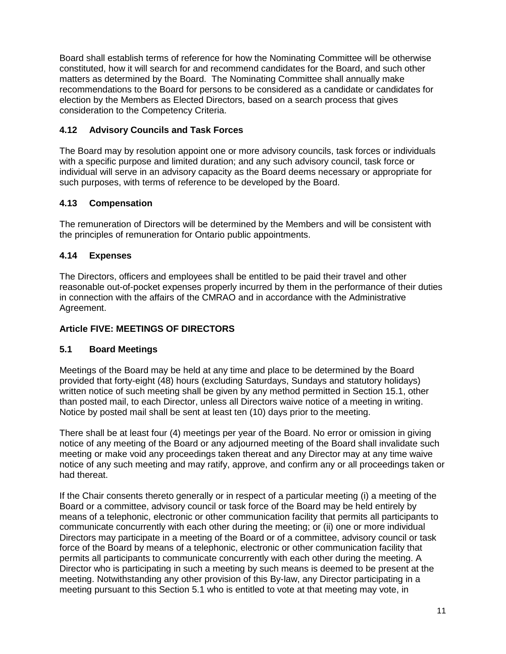Board shall establish terms of reference for how the Nominating Committee will be otherwise constituted, how it will search for and recommend candidates for the Board, and such other matters as determined by the Board. The Nominating Committee shall annually make recommendations to the Board for persons to be considered as a candidate or candidates for election by the Members as Elected Directors, based on a search process that gives consideration to the Competency Criteria.

# <span id="page-10-0"></span>**4.12 Advisory Councils and Task Forces**

The Board may by resolution appoint one or more advisory councils, task forces or individuals with a specific purpose and limited duration; and any such advisory council, task force or individual will serve in an advisory capacity as the Board deems necessary or appropriate for such purposes, with terms of reference to be developed by the Board.

# <span id="page-10-1"></span>**4.13 Compensation**

The remuneration of Directors will be determined by the Members and will be consistent with the principles of remuneration for Ontario public appointments.

# <span id="page-10-2"></span>**4.14 Expenses**

The Directors, officers and employees shall be entitled to be paid their travel and other reasonable out-of-pocket expenses properly incurred by them in the performance of their duties in connection with the affairs of the CMRAO and in accordance with the Administrative Agreement.

# <span id="page-10-3"></span>**Article FIVE: MEETINGS OF DIRECTORS**

# <span id="page-10-4"></span>**5.1 Board Meetings**

Meetings of the Board may be held at any time and place to be determined by the Board provided that forty-eight (48) hours (excluding Saturdays, Sundays and statutory holidays) written notice of such meeting shall be given by any method permitted in Section 15.1, other than posted mail, to each Director, unless all Directors waive notice of a meeting in writing. Notice by posted mail shall be sent at least ten (10) days prior to the meeting.

There shall be at least four (4) meetings per year of the Board. No error or omission in giving notice of any meeting of the Board or any adjourned meeting of the Board shall invalidate such meeting or make void any proceedings taken thereat and any Director may at any time waive notice of any such meeting and may ratify, approve, and confirm any or all proceedings taken or had thereat.

If the Chair consents thereto generally or in respect of a particular meeting (i) a meeting of the Board or a committee, advisory council or task force of the Board may be held entirely by means of a telephonic, electronic or other communication facility that permits all participants to communicate concurrently with each other during the meeting; or (ii) one or more individual Directors may participate in a meeting of the Board or of a committee, advisory council or task force of the Board by means of a telephonic, electronic or other communication facility that permits all participants to communicate concurrently with each other during the meeting. A Director who is participating in such a meeting by such means is deemed to be present at the meeting. Notwithstanding any other provision of this By-law, any Director participating in a meeting pursuant to this Section 5.1 who is entitled to vote at that meeting may vote, in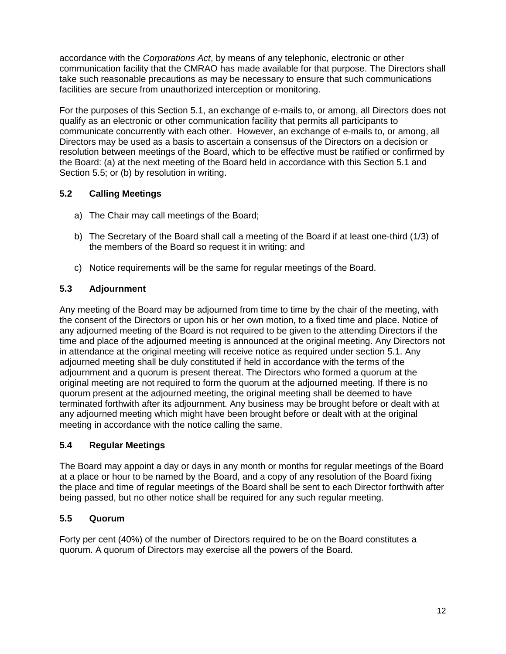accordance with the *Corporations Act*, by means of any telephonic, electronic or other communication facility that the CMRAO has made available for that purpose. The Directors shall take such reasonable precautions as may be necessary to ensure that such communications facilities are secure from unauthorized interception or monitoring.

For the purposes of this Section 5.1, an exchange of e-mails to, or among, all Directors does not qualify as an electronic or other communication facility that permits all participants to communicate concurrently with each other. However, an exchange of e-mails to, or among, all Directors may be used as a basis to ascertain a consensus of the Directors on a decision or resolution between meetings of the Board, which to be effective must be ratified or confirmed by the Board: (a) at the next meeting of the Board held in accordance with this Section 5.1 and Section 5.5; or (b) by resolution in writing.

# <span id="page-11-0"></span>**5.2 Calling Meetings**

- a) The Chair may call meetings of the Board;
- b) The Secretary of the Board shall call a meeting of the Board if at least one-third (1/3) of the members of the Board so request it in writing; and
- c) Notice requirements will be the same for regular meetings of the Board.

# <span id="page-11-1"></span>**5.3 Adjournment**

Any meeting of the Board may be adjourned from time to time by the chair of the meeting, with the consent of the Directors or upon his or her own motion, to a fixed time and place. Notice of any adjourned meeting of the Board is not required to be given to the attending Directors if the time and place of the adjourned meeting is announced at the original meeting. Any Directors not in attendance at the original meeting will receive notice as required under section 5.1. Any adjourned meeting shall be duly constituted if held in accordance with the terms of the adjournment and a quorum is present thereat. The Directors who formed a quorum at the original meeting are not required to form the quorum at the adjourned meeting. If there is no quorum present at the adjourned meeting, the original meeting shall be deemed to have terminated forthwith after its adjournment. Any business may be brought before or dealt with at any adjourned meeting which might have been brought before or dealt with at the original meeting in accordance with the notice calling the same.

# <span id="page-11-2"></span>**5.4 Regular Meetings**

The Board may appoint a day or days in any month or months for regular meetings of the Board at a place or hour to be named by the Board, and a copy of any resolution of the Board fixing the place and time of regular meetings of the Board shall be sent to each Director forthwith after being passed, but no other notice shall be required for any such regular meeting.

# <span id="page-11-3"></span>**5.5 Quorum**

Forty per cent (40%) of the number of Directors required to be on the Board constitutes a quorum. A quorum of Directors may exercise all the powers of the Board.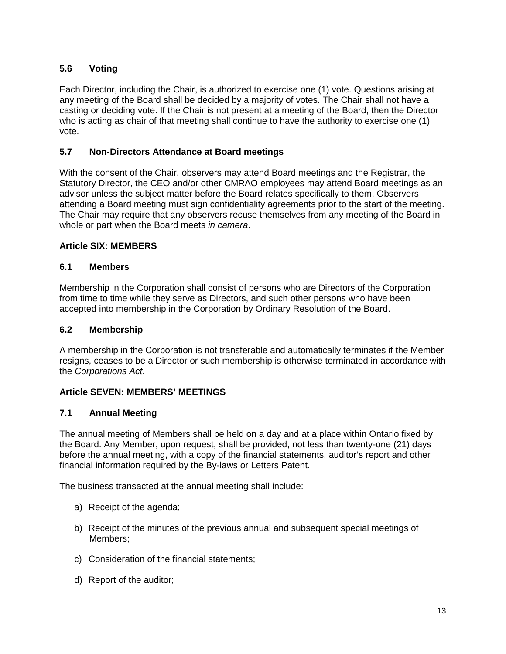# <span id="page-12-0"></span>**5.6 Voting**

Each Director, including the Chair, is authorized to exercise one (1) vote. Questions arising at any meeting of the Board shall be decided by a majority of votes. The Chair shall not have a casting or deciding vote. If the Chair is not present at a meeting of the Board, then the Director who is acting as chair of that meeting shall continue to have the authority to exercise one (1) vote.

### <span id="page-12-1"></span>**5.7 Non-Directors Attendance at Board meetings**

With the consent of the Chair, observers may attend Board meetings and the Registrar, the Statutory Director, the CEO and/or other CMRAO employees may attend Board meetings as an advisor unless the subject matter before the Board relates specifically to them. Observers attending a Board meeting must sign confidentiality agreements prior to the start of the meeting. The Chair may require that any observers recuse themselves from any meeting of the Board in whole or part when the Board meets *in camera*.

#### <span id="page-12-2"></span>**Article SIX: MEMBERS**

#### <span id="page-12-3"></span>**6.1 Members**

Membership in the Corporation shall consist of persons who are Directors of the Corporation from time to time while they serve as Directors, and such other persons who have been accepted into membership in the Corporation by Ordinary Resolution of the Board.

#### <span id="page-12-4"></span>**6.2 Membership**

A membership in the Corporation is not transferable and automatically terminates if the Member resigns, ceases to be a Director or such membership is otherwise terminated in accordance with the *Corporations Act*.

# <span id="page-12-5"></span>**Article SEVEN: MEMBERS' MEETINGS**

#### <span id="page-12-6"></span>**7.1 Annual Meeting**

The annual meeting of Members shall be held on a day and at a place within Ontario fixed by the Board. Any Member, upon request, shall be provided, not less than twenty-one (21) days before the annual meeting, with a copy of the financial statements, auditor's report and other financial information required by the By-laws or Letters Patent.

The business transacted at the annual meeting shall include:

- a) Receipt of the agenda;
- b) Receipt of the minutes of the previous annual and subsequent special meetings of Members;
- c) Consideration of the financial statements;
- d) Report of the auditor;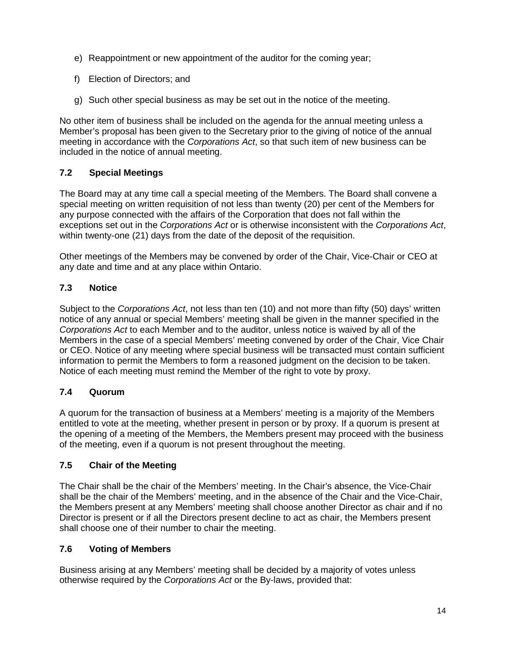- e) Reappointment or new appointment of the auditor for the coming year;
- f) Election of Directors; and
- g) Such other special business as may be set out in the notice of the meeting.

No other item of business shall be included on the agenda for the annual meeting unless a Member's proposal has been given to the Secretary prior to the giving of notice of the annual meeting in accordance with the *Corporations Act*, so that such item of new business can be included in the notice of annual meeting.

# <span id="page-13-0"></span>**7.2 Special Meetings**

The Board may at any time call a special meeting of the Members. The Board shall convene a special meeting on written requisition of not less than twenty (20) per cent of the Members for any purpose connected with the affairs of the Corporation that does not fall within the exceptions set out in the *Corporations Act* or is otherwise inconsistent with the *Corporations Act*, within twenty-one (21) days from the date of the deposit of the requisition.

Other meetings of the Members may be convened by order of the Chair, Vice-Chair or CEO at any date and time and at any place within Ontario.

# <span id="page-13-1"></span>**7.3 Notice**

Subject to the *Corporations Act*, not less than ten (10) and not more than fifty (50) days' written notice of any annual or special Members' meeting shall be given in the manner specified in the *Corporations Act* to each Member and to the auditor, unless notice is waived by all of the Members in the case of a special Members' meeting convened by order of the Chair, Vice Chair or CEO. Notice of any meeting where special business will be transacted must contain sufficient information to permit the Members to form a reasoned judgment on the decision to be taken. Notice of each meeting must remind the Member of the right to vote by proxy.

# <span id="page-13-2"></span>**7.4 Quorum**

A quorum for the transaction of business at a Members' meeting is a majority of the Members entitled to vote at the meeting, whether present in person or by proxy. If a quorum is present at the opening of a meeting of the Members, the Members present may proceed with the business of the meeting, even if a quorum is not present throughout the meeting.

# <span id="page-13-3"></span>**7.5 Chair of the Meeting**

The Chair shall be the chair of the Members' meeting. In the Chair's absence, the Vice-Chair shall be the chair of the Members' meeting, and in the absence of the Chair and the Vice-Chair, the Members present at any Members' meeting shall choose another Director as chair and if no Director is present or if all the Directors present decline to act as chair, the Members present shall choose one of their number to chair the meeting.

# <span id="page-13-4"></span>**7.6 Voting of Members**

Business arising at any Members' meeting shall be decided by a majority of votes unless otherwise required by the *Corporations Act* or the By-laws, provided that: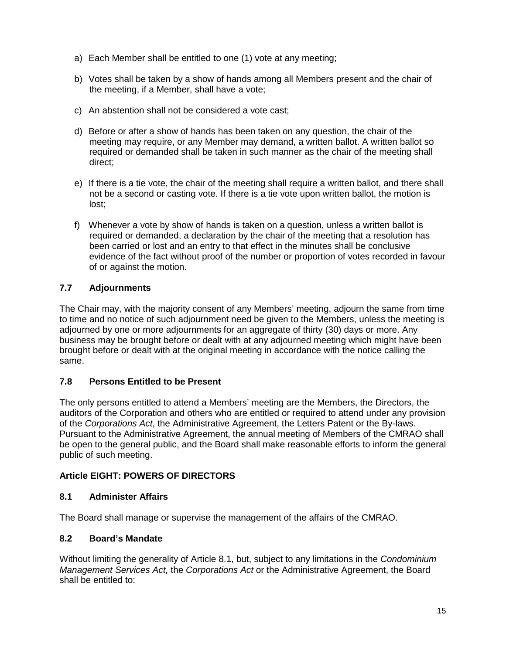- a) Each Member shall be entitled to one (1) vote at any meeting;
- b) Votes shall be taken by a show of hands among all Members present and the chair of the meeting, if a Member, shall have a vote;
- c) An abstention shall not be considered a vote cast;
- d) Before or after a show of hands has been taken on any question, the chair of the meeting may require, or any Member may demand, a written ballot. A written ballot so required or demanded shall be taken in such manner as the chair of the meeting shall direct;
- e) If there is a tie vote, the chair of the meeting shall require a written ballot, and there shall not be a second or casting vote. If there is a tie vote upon written ballot, the motion is lost;
- f) Whenever a vote by show of hands is taken on a question, unless a written ballot is required or demanded, a declaration by the chair of the meeting that a resolution has been carried or lost and an entry to that effect in the minutes shall be conclusive evidence of the fact without proof of the number or proportion of votes recorded in favour of or against the motion.

# <span id="page-14-0"></span>**7.7 Adjournments**

The Chair may, with the majority consent of any Members' meeting, adjourn the same from time to time and no notice of such adjournment need be given to the Members, unless the meeting is adjourned by one or more adjournments for an aggregate of thirty (30) days or more. Any business may be brought before or dealt with at any adjourned meeting which might have been brought before or dealt with at the original meeting in accordance with the notice calling the same.

# <span id="page-14-1"></span>**7.8 Persons Entitled to be Present**

The only persons entitled to attend a Members' meeting are the Members, the Directors, the auditors of the Corporation and others who are entitled or required to attend under any provision of the *Corporations Act*, the Administrative Agreement, the Letters Patent or the By-laws. Pursuant to the Administrative Agreement, the annual meeting of Members of the CMRAO shall be open to the general public, and the Board shall make reasonable efforts to inform the general public of such meeting.

# <span id="page-14-2"></span>**Article EIGHT: POWERS OF DIRECTORS**

# <span id="page-14-3"></span>**8.1 Administer Affairs**

The Board shall manage or supervise the management of the affairs of the CMRAO.

# <span id="page-14-4"></span>**8.2 Board's Mandate**

Without limiting the generality of Article 8.1, but, subject to any limitations in the *Condominium Management Services Act,* the *Corporations Act* or the Administrative Agreement, the Board shall be entitled to: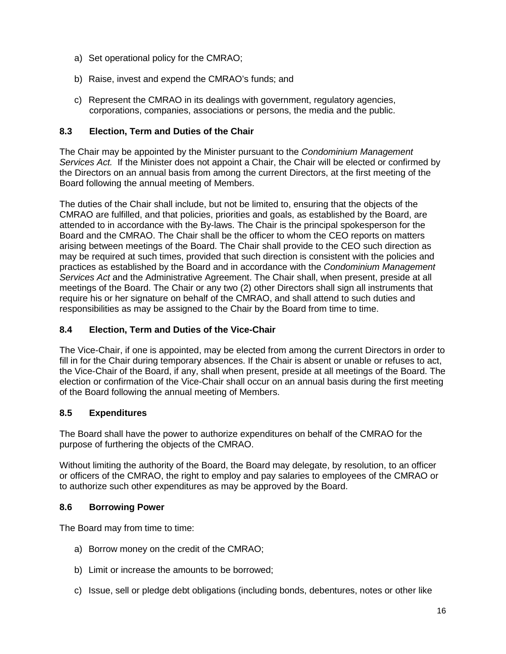- a) Set operational policy for the CMRAO;
- b) Raise, invest and expend the CMRAO's funds; and
- c) Represent the CMRAO in its dealings with government, regulatory agencies, corporations, companies, associations or persons, the media and the public.

### <span id="page-15-0"></span>**8.3 Election, Term and Duties of the Chair**

The Chair may be appointed by the Minister pursuant to the *Condominium Management Services Act.* If the Minister does not appoint a Chair, the Chair will be elected or confirmed by the Directors on an annual basis from among the current Directors, at the first meeting of the Board following the annual meeting of Members.

The duties of the Chair shall include, but not be limited to, ensuring that the objects of the CMRAO are fulfilled, and that policies, priorities and goals, as established by the Board, are attended to in accordance with the By-laws. The Chair is the principal spokesperson for the Board and the CMRAO. The Chair shall be the officer to whom the CEO reports on matters arising between meetings of the Board. The Chair shall provide to the CEO such direction as may be required at such times, provided that such direction is consistent with the policies and practices as established by the Board and in accordance with the *Condominium Management Services Act* and the Administrative Agreement. The Chair shall, when present, preside at all meetings of the Board. The Chair or any two (2) other Directors shall sign all instruments that require his or her signature on behalf of the CMRAO, and shall attend to such duties and responsibilities as may be assigned to the Chair by the Board from time to time.

### <span id="page-15-1"></span>**8.4 Election, Term and Duties of the Vice-Chair**

The Vice-Chair, if one is appointed, may be elected from among the current Directors in order to fill in for the Chair during temporary absences. If the Chair is absent or unable or refuses to act, the Vice-Chair of the Board, if any, shall when present, preside at all meetings of the Board. The election or confirmation of the Vice-Chair shall occur on an annual basis during the first meeting of the Board following the annual meeting of Members.

#### <span id="page-15-2"></span>**8.5 Expenditures**

The Board shall have the power to authorize expenditures on behalf of the CMRAO for the purpose of furthering the objects of the CMRAO.

Without limiting the authority of the Board, the Board may delegate, by resolution, to an officer or officers of the CMRAO, the right to employ and pay salaries to employees of the CMRAO or to authorize such other expenditures as may be approved by the Board.

#### <span id="page-15-3"></span>**8.6 Borrowing Power**

The Board may from time to time:

- a) Borrow money on the credit of the CMRAO;
- b) Limit or increase the amounts to be borrowed;
- c) Issue, sell or pledge debt obligations (including bonds, debentures, notes or other like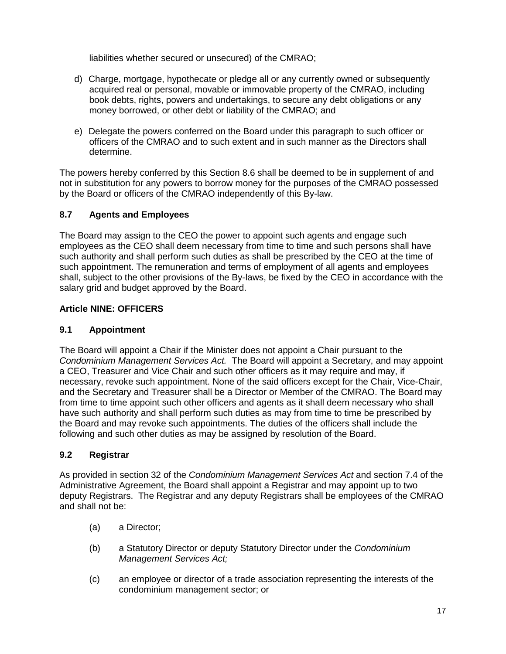liabilities whether secured or unsecured) of the CMRAO;

- d) Charge, mortgage, hypothecate or pledge all or any currently owned or subsequently acquired real or personal, movable or immovable property of the CMRAO, including book debts, rights, powers and undertakings, to secure any debt obligations or any money borrowed, or other debt or liability of the CMRAO; and
- e) Delegate the powers conferred on the Board under this paragraph to such officer or officers of the CMRAO and to such extent and in such manner as the Directors shall determine.

The powers hereby conferred by this Section 8.6 shall be deemed to be in supplement of and not in substitution for any powers to borrow money for the purposes of the CMRAO possessed by the Board or officers of the CMRAO independently of this By-law.

# <span id="page-16-0"></span>**8.7 Agents and Employees**

The Board may assign to the CEO the power to appoint such agents and engage such employees as the CEO shall deem necessary from time to time and such persons shall have such authority and shall perform such duties as shall be prescribed by the CEO at the time of such appointment. The remuneration and terms of employment of all agents and employees shall, subject to the other provisions of the By-laws, be fixed by the CEO in accordance with the salary grid and budget approved by the Board.

# <span id="page-16-1"></span>**Article NINE: OFFICERS**

# <span id="page-16-2"></span>**9.1 Appointment**

The Board will appoint a Chair if the Minister does not appoint a Chair pursuant to the *Condominium Management Services Act.* The Board will appoint a Secretary, and may appoint a CEO, Treasurer and Vice Chair and such other officers as it may require and may, if necessary, revoke such appointment. None of the said officers except for the Chair, Vice-Chair, and the Secretary and Treasurer shall be a Director or Member of the CMRAO. The Board may from time to time appoint such other officers and agents as it shall deem necessary who shall have such authority and shall perform such duties as may from time to time be prescribed by the Board and may revoke such appointments. The duties of the officers shall include the following and such other duties as may be assigned by resolution of the Board.

# <span id="page-16-3"></span>**9.2 Registrar**

As provided in section 32 of the *Condominium Management Services Act* and section 7.4 of the Administrative Agreement, the Board shall appoint a Registrar and may appoint up to two deputy Registrars. The Registrar and any deputy Registrars shall be employees of the CMRAO and shall not be:

- (a) a Director;
- (b) a Statutory Director or deputy Statutory Director under the *Condominium Management Services Act;*
- (c) an employee or director of a trade association representing the interests of the condominium management sector; or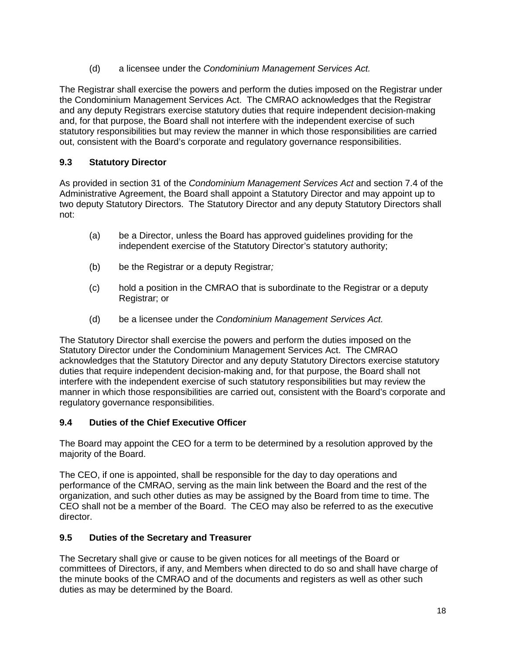(d) a licensee under the *Condominium Management Services Act.*

The Registrar shall exercise the powers and perform the duties imposed on the Registrar under the Condominium Management Services Act. The CMRAO acknowledges that the Registrar and any deputy Registrars exercise statutory duties that require independent decision-making and, for that purpose, the Board shall not interfere with the independent exercise of such statutory responsibilities but may review the manner in which those responsibilities are carried out, consistent with the Board's corporate and regulatory governance responsibilities.

# <span id="page-17-0"></span>**9.3 Statutory Director**

As provided in section 31 of the *Condominium Management Services Act* and section 7.4 of the Administrative Agreement, the Board shall appoint a Statutory Director and may appoint up to two deputy Statutory Directors. The Statutory Director and any deputy Statutory Directors shall not:

- (a) be a Director, unless the Board has approved guidelines providing for the independent exercise of the Statutory Director's statutory authority;
- (b) be the Registrar or a deputy Registrar*;*
- (c) hold a position in the CMRAO that is subordinate to the Registrar or a deputy Registrar; or
- (d) be a licensee under the *Condominium Management Services Act.*

The Statutory Director shall exercise the powers and perform the duties imposed on the Statutory Director under the Condominium Management Services Act. The CMRAO acknowledges that the Statutory Director and any deputy Statutory Directors exercise statutory duties that require independent decision-making and, for that purpose, the Board shall not interfere with the independent exercise of such statutory responsibilities but may review the manner in which those responsibilities are carried out, consistent with the Board's corporate and regulatory governance responsibilities.

# <span id="page-17-1"></span>**9.4 Duties of the Chief Executive Officer**

The Board may appoint the CEO for a term to be determined by a resolution approved by the majority of the Board.

The CEO, if one is appointed, shall be responsible for the day to day operations and performance of the CMRAO, serving as the main link between the Board and the rest of the organization, and such other duties as may be assigned by the Board from time to time. The CEO shall not be a member of the Board. The CEO may also be referred to as the executive director.

# <span id="page-17-2"></span>**9.5 Duties of the Secretary and Treasurer**

The Secretary shall give or cause to be given notices for all meetings of the Board or committees of Directors, if any, and Members when directed to do so and shall have charge of the minute books of the CMRAO and of the documents and registers as well as other such duties as may be determined by the Board.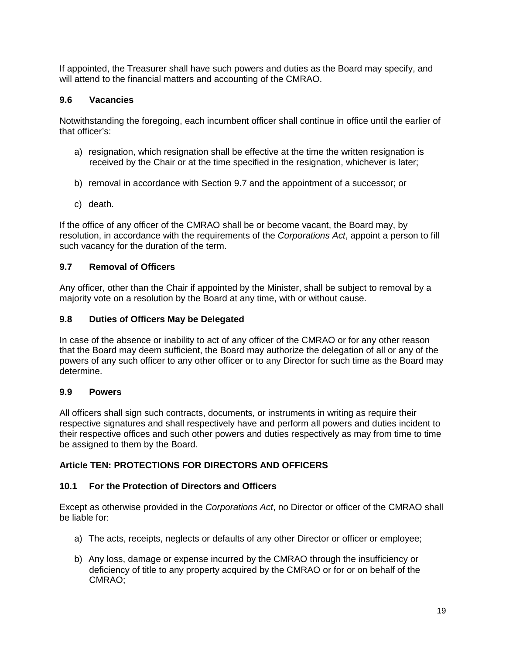If appointed, the Treasurer shall have such powers and duties as the Board may specify, and will attend to the financial matters and accounting of the CMRAO.

### <span id="page-18-0"></span>**9.6 Vacancies**

Notwithstanding the foregoing, each incumbent officer shall continue in office until the earlier of that officer's:

- a) resignation, which resignation shall be effective at the time the written resignation is received by the Chair or at the time specified in the resignation, whichever is later;
- b) removal in accordance with Section 9.7 and the appointment of a successor; or
- c) death.

If the office of any officer of the CMRAO shall be or become vacant, the Board may, by resolution, in accordance with the requirements of the *Corporations Act*, appoint a person to fill such vacancy for the duration of the term.

#### <span id="page-18-1"></span>**9.7 Removal of Officers**

Any officer, other than the Chair if appointed by the Minister, shall be subject to removal by a majority vote on a resolution by the Board at any time, with or without cause.

#### <span id="page-18-2"></span>**9.8 Duties of Officers May be Delegated**

In case of the absence or inability to act of any officer of the CMRAO or for any other reason that the Board may deem sufficient, the Board may authorize the delegation of all or any of the powers of any such officer to any other officer or to any Director for such time as the Board may determine.

#### <span id="page-18-3"></span>**9.9 Powers**

All officers shall sign such contracts, documents, or instruments in writing as require their respective signatures and shall respectively have and perform all powers and duties incident to their respective offices and such other powers and duties respectively as may from time to time be assigned to them by the Board.

#### <span id="page-18-4"></span>**Article TEN: PROTECTIONS FOR DIRECTORS AND OFFICERS**

#### <span id="page-18-5"></span>**10.1 For the Protection of Directors and Officers**

Except as otherwise provided in the *Corporations Act*, no Director or officer of the CMRAO shall be liable for:

- a) The acts, receipts, neglects or defaults of any other Director or officer or employee;
- b) Any loss, damage or expense incurred by the CMRAO through the insufficiency or deficiency of title to any property acquired by the CMRAO or for or on behalf of the CMRAO;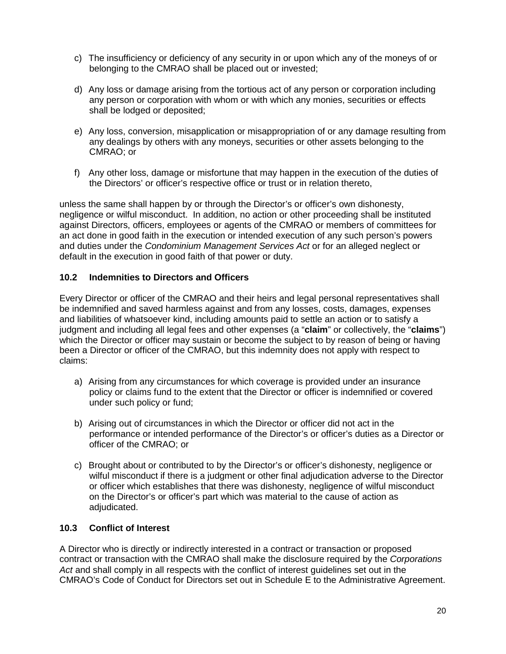- c) The insufficiency or deficiency of any security in or upon which any of the moneys of or belonging to the CMRAO shall be placed out or invested;
- d) Any loss or damage arising from the tortious act of any person or corporation including any person or corporation with whom or with which any monies, securities or effects shall be lodged or deposited;
- e) Any loss, conversion, misapplication or misappropriation of or any damage resulting from any dealings by others with any moneys, securities or other assets belonging to the CMRAO; or
- f) Any other loss, damage or misfortune that may happen in the execution of the duties of the Directors' or officer's respective office or trust or in relation thereto,

unless the same shall happen by or through the Director's or officer's own dishonesty, negligence or wilful misconduct. In addition, no action or other proceeding shall be instituted against Directors, officers, employees or agents of the CMRAO or members of committees for an act done in good faith in the execution or intended execution of any such person's powers and duties under the *Condominium Management Services Act* or for an alleged neglect or default in the execution in good faith of that power or duty.

### <span id="page-19-0"></span>**10.2 Indemnities to Directors and Officers**

Every Director or officer of the CMRAO and their heirs and legal personal representatives shall be indemnified and saved harmless against and from any losses, costs, damages, expenses and liabilities of whatsoever kind, including amounts paid to settle an action or to satisfy a judgment and including all legal fees and other expenses (a "**claim**" or collectively, the "**claims**") which the Director or officer may sustain or become the subject to by reason of being or having been a Director or officer of the CMRAO, but this indemnity does not apply with respect to claims:

- a) Arising from any circumstances for which coverage is provided under an insurance policy or claims fund to the extent that the Director or officer is indemnified or covered under such policy or fund;
- b) Arising out of circumstances in which the Director or officer did not act in the performance or intended performance of the Director's or officer's duties as a Director or officer of the CMRAO; or
- c) Brought about or contributed to by the Director's or officer's dishonesty, negligence or wilful misconduct if there is a judgment or other final adjudication adverse to the Director or officer which establishes that there was dishonesty, negligence of wilful misconduct on the Director's or officer's part which was material to the cause of action as adjudicated.

#### <span id="page-19-1"></span>**10.3 Conflict of Interest**

A Director who is directly or indirectly interested in a contract or transaction or proposed contract or transaction with the CMRAO shall make the disclosure required by the *Corporations Act* and shall comply in all respects with the conflict of interest guidelines set out in the CMRAO's Code of Conduct for Directors set out in Schedule E to the Administrative Agreement.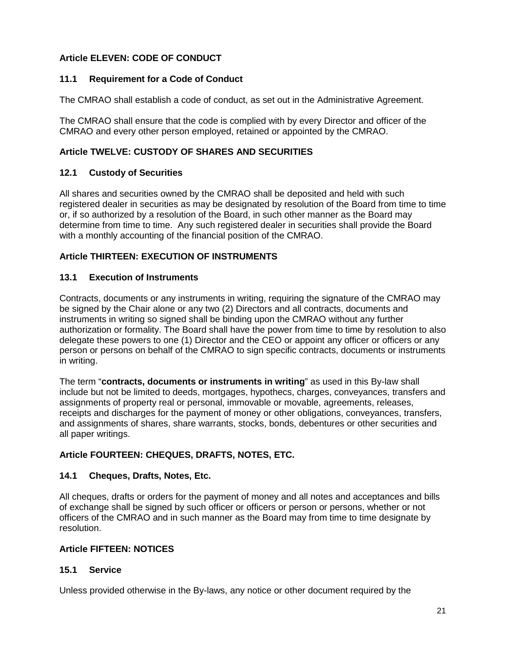# <span id="page-20-0"></span>**Article ELEVEN: CODE OF CONDUCT**

### <span id="page-20-1"></span>**11.1 Requirement for a Code of Conduct**

The CMRAO shall establish a code of conduct, as set out in the Administrative Agreement.

The CMRAO shall ensure that the code is complied with by every Director and officer of the CMRAO and every other person employed, retained or appointed by the CMRAO.

# <span id="page-20-2"></span>**Article TWELVE: CUSTODY OF SHARES AND SECURITIES**

### <span id="page-20-3"></span>**12.1 Custody of Securities**

All shares and securities owned by the CMRAO shall be deposited and held with such registered dealer in securities as may be designated by resolution of the Board from time to time or, if so authorized by a resolution of the Board, in such other manner as the Board may determine from time to time. Any such registered dealer in securities shall provide the Board with a monthly accounting of the financial position of the CMRAO.

# <span id="page-20-4"></span>**Article THIRTEEN: EXECUTION OF INSTRUMENTS**

### <span id="page-20-5"></span>**13.1 Execution of Instruments**

Contracts, documents or any instruments in writing, requiring the signature of the CMRAO may be signed by the Chair alone or any two (2) Directors and all contracts, documents and instruments in writing so signed shall be binding upon the CMRAO without any further authorization or formality. The Board shall have the power from time to time by resolution to also delegate these powers to one (1) Director and the CEO or appoint any officer or officers or any person or persons on behalf of the CMRAO to sign specific contracts, documents or instruments in writing.

The term "**contracts, documents or instruments in writing**" as used in this By-law shall include but not be limited to deeds, mortgages, hypothecs, charges, conveyances, transfers and assignments of property real or personal, immovable or movable, agreements, releases, receipts and discharges for the payment of money or other obligations, conveyances, transfers, and assignments of shares, share warrants, stocks, bonds, debentures or other securities and all paper writings.

# <span id="page-20-6"></span>**Article FOURTEEN: CHEQUES, DRAFTS, NOTES, ETC.**

#### <span id="page-20-7"></span>**14.1 Cheques, Drafts, Notes, Etc.**

All cheques, drafts or orders for the payment of money and all notes and acceptances and bills of exchange shall be signed by such officer or officers or person or persons, whether or not officers of the CMRAO and in such manner as the Board may from time to time designate by resolution.

#### <span id="page-20-8"></span>**Article FIFTEEN: NOTICES**

#### <span id="page-20-9"></span>**15.1 Service**

Unless provided otherwise in the By-laws, any notice or other document required by the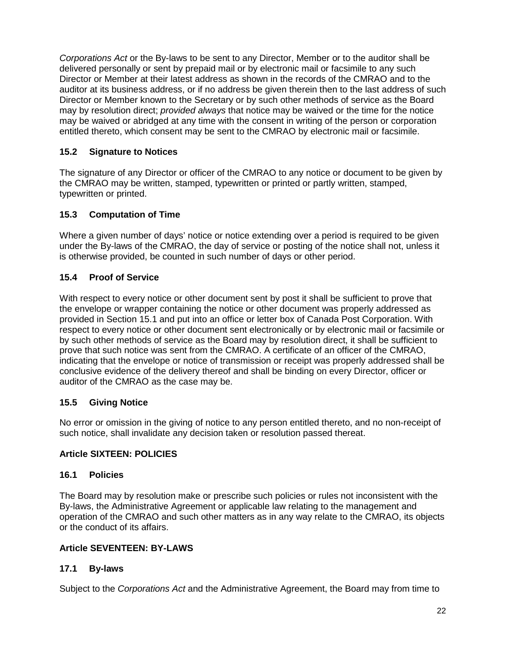*Corporations Act* or the By-laws to be sent to any Director, Member or to the auditor shall be delivered personally or sent by prepaid mail or by electronic mail or facsimile to any such Director or Member at their latest address as shown in the records of the CMRAO and to the auditor at its business address, or if no address be given therein then to the last address of such Director or Member known to the Secretary or by such other methods of service as the Board may by resolution direct; *provided always* that notice may be waived or the time for the notice may be waived or abridged at any time with the consent in writing of the person or corporation entitled thereto, which consent may be sent to the CMRAO by electronic mail or facsimile.

# <span id="page-21-0"></span>**15.2 Signature to Notices**

The signature of any Director or officer of the CMRAO to any notice or document to be given by the CMRAO may be written, stamped, typewritten or printed or partly written, stamped, typewritten or printed.

# <span id="page-21-1"></span>**15.3 Computation of Time**

Where a given number of days' notice or notice extending over a period is required to be given under the By-laws of the CMRAO, the day of service or posting of the notice shall not, unless it is otherwise provided, be counted in such number of days or other period.

# <span id="page-21-2"></span>**15.4 Proof of Service**

With respect to every notice or other document sent by post it shall be sufficient to prove that the envelope or wrapper containing the notice or other document was properly addressed as provided in Section 15.1 and put into an office or letter box of Canada Post Corporation. With respect to every notice or other document sent electronically or by electronic mail or facsimile or by such other methods of service as the Board may by resolution direct, it shall be sufficient to prove that such notice was sent from the CMRAO. A certificate of an officer of the CMRAO, indicating that the envelope or notice of transmission or receipt was properly addressed shall be conclusive evidence of the delivery thereof and shall be binding on every Director, officer or auditor of the CMRAO as the case may be.

# <span id="page-21-3"></span>**15.5 Giving Notice**

No error or omission in the giving of notice to any person entitled thereto, and no non-receipt of such notice, shall invalidate any decision taken or resolution passed thereat.

# <span id="page-21-4"></span>**Article SIXTEEN: POLICIES**

# <span id="page-21-5"></span>**16.1 Policies**

The Board may by resolution make or prescribe such policies or rules not inconsistent with the By-laws, the Administrative Agreement or applicable law relating to the management and operation of the CMRAO and such other matters as in any way relate to the CMRAO, its objects or the conduct of its affairs.

# <span id="page-21-6"></span>**Article SEVENTEEN: BY-LAWS**

# <span id="page-21-7"></span>**17.1 By-laws**

Subject to the *Corporations Act* and the Administrative Agreement, the Board may from time to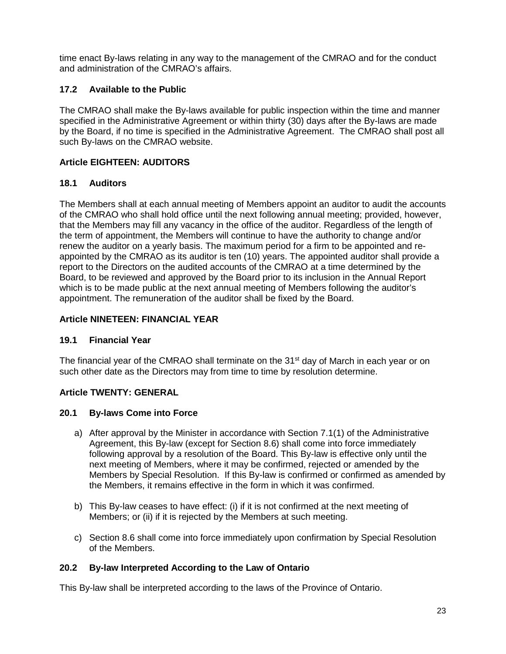time enact By-laws relating in any way to the management of the CMRAO and for the conduct and administration of the CMRAO's affairs.

# <span id="page-22-0"></span>**17.2 Available to the Public**

The CMRAO shall make the By-laws available for public inspection within the time and manner specified in the Administrative Agreement or within thirty (30) days after the By-laws are made by the Board, if no time is specified in the Administrative Agreement. The CMRAO shall post all such By-laws on the CMRAO website.

# <span id="page-22-1"></span>**Article EIGHTEEN: AUDITORS**

# <span id="page-22-2"></span>**18.1 Auditors**

The Members shall at each annual meeting of Members appoint an auditor to audit the accounts of the CMRAO who shall hold office until the next following annual meeting; provided, however, that the Members may fill any vacancy in the office of the auditor. Regardless of the length of the term of appointment, the Members will continue to have the authority to change and/or renew the auditor on a yearly basis. The maximum period for a firm to be appointed and reappointed by the CMRAO as its auditor is ten (10) years. The appointed auditor shall provide a report to the Directors on the audited accounts of the CMRAO at a time determined by the Board, to be reviewed and approved by the Board prior to its inclusion in the Annual Report which is to be made public at the next annual meeting of Members following the auditor's appointment. The remuneration of the auditor shall be fixed by the Board.

# <span id="page-22-3"></span>**Article NINETEEN: FINANCIAL YEAR**

# <span id="page-22-4"></span>**19.1 Financial Year**

The financial year of the CMRAO shall terminate on the  $31<sup>st</sup>$  day of March in each year or on such other date as the Directors may from time to time by resolution determine.

# <span id="page-22-5"></span>**Article TWENTY: GENERAL**

# <span id="page-22-6"></span>**20.1 By-laws Come into Force**

- a) After approval by the Minister in accordance with Section 7.1(1) of the Administrative Agreement, this By-law (except for Section 8.6) shall come into force immediately following approval by a resolution of the Board. This By-law is effective only until the next meeting of Members, where it may be confirmed, rejected or amended by the Members by Special Resolution. If this By-law is confirmed or confirmed as amended by the Members, it remains effective in the form in which it was confirmed.
- b) This By-law ceases to have effect: (i) if it is not confirmed at the next meeting of Members; or (ii) if it is rejected by the Members at such meeting.
- c) Section 8.6 shall come into force immediately upon confirmation by Special Resolution of the Members.

# <span id="page-22-7"></span>**20.2 By-law Interpreted According to the Law of Ontario**

This By-law shall be interpreted according to the laws of the Province of Ontario.